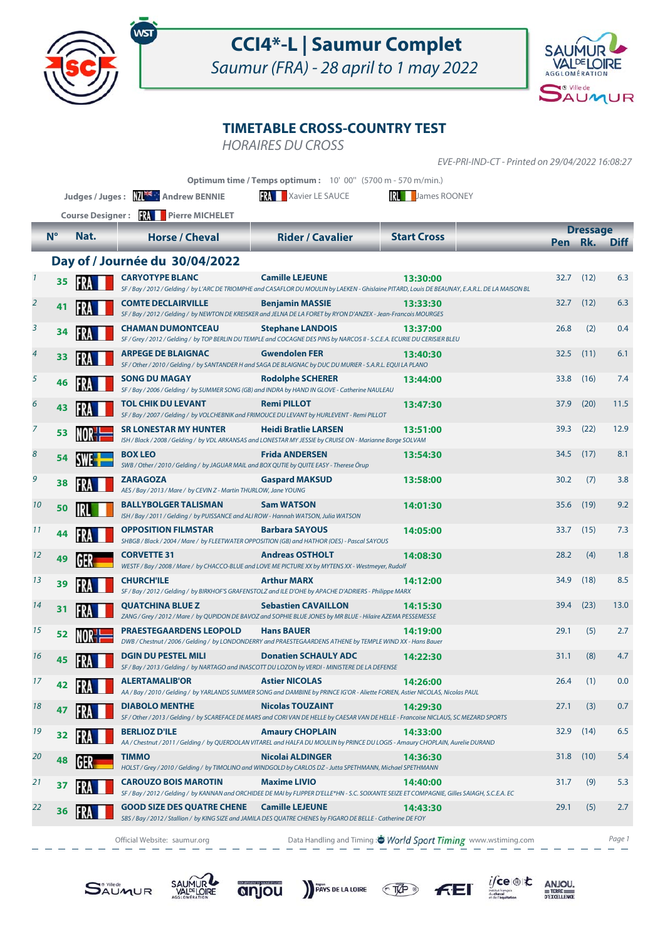

## **CCI4\*-L | Saumur Complet**

Saumur (FRA) - 28 april to 1 may 2022



## **TIMETABLE CROSS-COUNTRY TEST**

HORAIRES DU CROSS

EVE-PRI-IND-CT - Printed on 29/04/2022 16:08:27

|                     |                         |      |                                                                                                                            | Optimum time / Temps optimum: 10' 00" (5700 m - 570 m/min.)                                                                                                                |                     |      |                        |             |
|---------------------|-------------------------|------|----------------------------------------------------------------------------------------------------------------------------|----------------------------------------------------------------------------------------------------------------------------------------------------------------------------|---------------------|------|------------------------|-------------|
|                     |                         |      | Judges / Juges: ME Andrew BENNIE                                                                                           | RL<br><b>RAY</b> Xavier LE SAUCE                                                                                                                                           | <b>James ROONEY</b> |      |                        |             |
|                     | <b>Course Designer:</b> |      |                                                                                                                            |                                                                                                                                                                            |                     |      |                        |             |
|                     | $N^{\circ}$             | Nat. | <b>Horse / Cheval</b>                                                                                                      | <b>Rider / Cavalier</b>                                                                                                                                                    | <b>Start Cross</b>  | Pen  | <b>Dressage</b><br>Rk. | <b>Diff</b> |
|                     |                         |      |                                                                                                                            |                                                                                                                                                                            |                     |      |                        |             |
|                     |                         |      | Day of / Journée du 30/04/2022                                                                                             |                                                                                                                                                                            |                     |      |                        |             |
| $\boldsymbol{\eta}$ | 35                      |      | <b>CARYOTYPE BLANC</b>                                                                                                     | <b>Camille LEJEUNE</b><br>SF / Bay / 2012 / Gelding / by L'ARC DE TRIOMPHE and CASAFLOR DU MOULIN by LAEKEN - Ghislaine PITARD, Louis DE BEAUNAY, E.A.R.L. DE LA MAISON BL | 13:30:00            | 32.7 | (12)                   | 6.3         |
| $\overline{2}$      | 41                      | FR   | <b>COMTE DECLAIRVILLE</b>                                                                                                  | <b>Benjamin MASSIE</b><br>SF / Bay / 2012 / Gelding / by NEWTON DE KREISKER and JELNA DE LA FORET by RYON D'ANZEX - Jean-Francois MOURGES                                  | 13:33:30            | 32.7 | (12)                   | 6.3         |
| 3                   | 34                      | FR   | <b>CHAMAN DUMONTCEAU</b>                                                                                                   | <b>Stephane LANDOIS</b><br>SF / Grey / 2012 / Gelding / by TOP BERLIN DU TEMPLE and COCAGNE DES PINS by NARCOS II - S.C.E.A. ECURIE DU CERISIER BLEU                       | 13:37:00            | 26.8 | (2)                    | 0.4         |
| 4                   | 33                      | FR   | <b>ARPEGE DE BLAIGNAC</b>                                                                                                  | <b>Gwendolen FER</b><br>SF / Other / 2010 / Gelding / by SANTANDER H and SAGA DE BLAIGNAC by DUC DU MURIER - S.A.R.L. EQUI LA PLANO                                        | 13:40:30            | 32.5 | (11)                   | 6.1         |
| 5                   | 46                      |      | <b>SONG DU MAGAY</b>                                                                                                       | <b>Rodolphe SCHERER</b><br>SF / Bay / 2006 / Gelding / by SUMMER SONG (GB) and INDRA by HAND IN GLOVE - Catherine NAULEAU                                                  | 13:44:00            | 33.8 | (16)                   | 7.4         |
| 6                   | 43                      |      | <b>TOL CHIK DU LEVANT</b><br>SF / Bay / 2007 / Gelding / by VOLCHEBNIK and FRIMOUCE DU LEVANT by HURLEVENT - Remi PILLOT   | <b>Remi PILLOT</b>                                                                                                                                                         | 13:47:30            | 37.9 | (20)                   | 11.5        |
| 7                   | 53                      |      | <b>SR LONESTAR MY HUNTER</b>                                                                                               | <b>Heidi Bratlie LARSEN</b><br>ISH / Black / 2008 / Gelding / by VDL ARKANSAS and LONESTAR MY JESSIE by CRUISE ON - Marianne Borge SOLVAM                                  | 13:51:00            | 39.3 | (22)                   | 12.9        |
| 8                   | 54                      |      | <b>BOX LEO</b><br>SWB / Other / 2010 / Gelding / by JAGUAR MAIL and BOX QUTIE by QUITE EASY - Therese Örup                 | <b>Frida ANDERSEN</b>                                                                                                                                                      | 13:54:30            | 34.5 | (17)                   | 8.1         |
| 9                   | 38                      |      | <b>ZARAGOZA</b><br>AES / Bay / 2013 / Mare / by CEVIN Z - Martin THURLOW, Jane YOUNG                                       | <b>Gaspard MAKSUD</b>                                                                                                                                                      | 13:58:00            | 30.2 | (7)                    | 3.8         |
| 10                  | 50                      |      | <b>BALLYBOLGER TALISMAN</b><br>ISH / Bay / 2011 / Gelding / by PUISSANCE and ALI ROW - Hannah WATSON, Julia WATSON         | <b>Sam WATSON</b>                                                                                                                                                          | 14:01:30            | 35.6 | (19)                   | 9.2         |
| 11                  | 44                      |      | <b>OPPOSITION FILMSTAR</b><br>SHBGB / Black / 2004 / Mare / by FLEETWATER OPPOSITION (GB) and HATHOR (OES) - Pascal SAYOUS | <b>Barbara SAYOUS</b>                                                                                                                                                      | 14:05:00            | 33.7 | (15)                   | 7.3         |
| 12                  | 49                      | GER  | <b>CORVETTE 31</b>                                                                                                         | <b>Andreas OSTHOLT</b><br>WESTF / Bay / 2008 / Mare / by CHACCO-BLUE and LOVE ME PICTURE XX by MYTENS XX - Westmeyer, Rudolf                                               | 14:08:30            | 28.2 | (4)                    | 1.8         |
| 13                  | 39                      | FR   | <b>CHURCH'ILE</b>                                                                                                          | <b>Arthur MARX</b><br>SF / Bay / 2012 / Gelding / by BIRKHOF'S GRAFENSTOLZ and ILE D'OHE by APACHE D'ADRIERS - Philippe MARX                                               | 14:12:00            | 34.9 | (18)                   | 8.5         |
| 14                  | 31                      |      | <b>QUATCHINA BLUE Z</b>                                                                                                    | <b>Sebastien CAVAILLON</b><br>ZANG / Grey / 2012 / Mare / by QUPIDON DE BAVOZ and SOPHIE BLUE JONES by MR BLUE - Hilaire AZEMA PESSEMESSE                                  | 14:15:30            | 39.4 | (23)                   | 13.0        |
| 15                  | 52                      |      | <b>PRAESTEGAARDENS LEOPOLD</b>                                                                                             | <b>Hans BAUER</b><br>DWB / Chestnut / 2006 / Gelding / by LONDONDERRY and PRAESTEGAARDENS ATHENE by TEMPLE WIND XX - Hans Bauer                                            | 14:19:00            | 29.1 | (5)                    | 2.7         |
| 16                  | 45                      |      | <b>DGIN DU PESTEL MILI</b>                                                                                                 | <b>Donatien SCHAULY ADC</b><br>SF / Bay / 2013 / Gelding / by NARTAGO and INASCOTT DU LOZON by VERDI - MINISTERE DE LA DEFENSE                                             | 14:22:30            | 31.1 | (8)                    | 4.7         |
| 17                  | 42                      |      | <b>ALERTAMALIB'OR</b>                                                                                                      | <b>Astier NICOLAS</b><br>AA / Bay / 2010 / Gelding / by YARLANDS SUMMER SONG and DAMBINE by PRINCE IG'OR - Aliette FORIEN, Astier NICOLAS, Nicolas PAUL                    | 14:26:00            | 26.4 | (1)                    | 0.0         |
| 18                  | 47                      |      | <b>DIABOLO MENTHE</b>                                                                                                      | <b>Nicolas TOUZAINT</b><br>SF / Other / 2013 / Gelding / by SCAREFACE DE MARS and CORI VAN DE HELLE by CAESAR VAN DE HELLE - Francoise NICLAUS, SC MEZARD SPORTS           | 14:29:30            | 27.1 | (3)                    | 0.7         |
| 19                  | 32                      |      | <b>BERLIOZ D'ILE</b>                                                                                                       | <b>Amaury CHOPLAIN</b><br>AA / Chestnut / 2011 / Gelding / by QUERDOLAN VITAREL and HALFA DU MOULIN by PRINCE DU LOGIS - Amaury CHOPLAIN, Aurelie DURAND                   | 14:33:00            | 32.9 | (14)                   | 6.5         |
| 20                  | 48                      |      | <b>TIMMO</b>                                                                                                               | Nicolai ALDINGER<br>HOLST / Grey / 2010 / Gelding / by TIMOLINO and WINDGOLD by CARLOS DZ - Jutta SPETHMANN, Michael SPETHMANN                                             | 14:36:30            | 31.8 | (10)                   | 5.4         |
| 21                  | 37                      |      | <b>CAROUZO BOIS MAROTIN</b>                                                                                                | <b>Maxime LIVIO</b><br>SF / Bay / 2012 / Gelding / by KANNAN and ORCHIDEE DE MAI by FLIPPER D'ELLE*HN - S.C. SOIXANTE SEIZE ET COMPAGNIE, Gilles SAIAGH, S.C.E.A. EC       | 14:40:00            | 31.7 | (9)                    | 5.3         |
| 22                  | 36                      |      | <b>GOOD SIZE DES QUATRE CHENE</b>                                                                                          | <b>Camille LEJEUNE</b><br>SBS / Bay / 2012 / Stallion / by KING SIZE and JAMILA DES QUATRE CHENES by FIGARO DE BELLE - Catherine DE FOY                                    | 14:43:30            | 29.1 | (5)                    | 2.7         |

Official Website: saumur.org **Data Handling and Timing : World Sport Timing** www.wstiming.com Page 1

 $\underset{\text{D'EXCELLING}}{\text{ANDU}}$ 

 $i$ fce

 $f(E)$